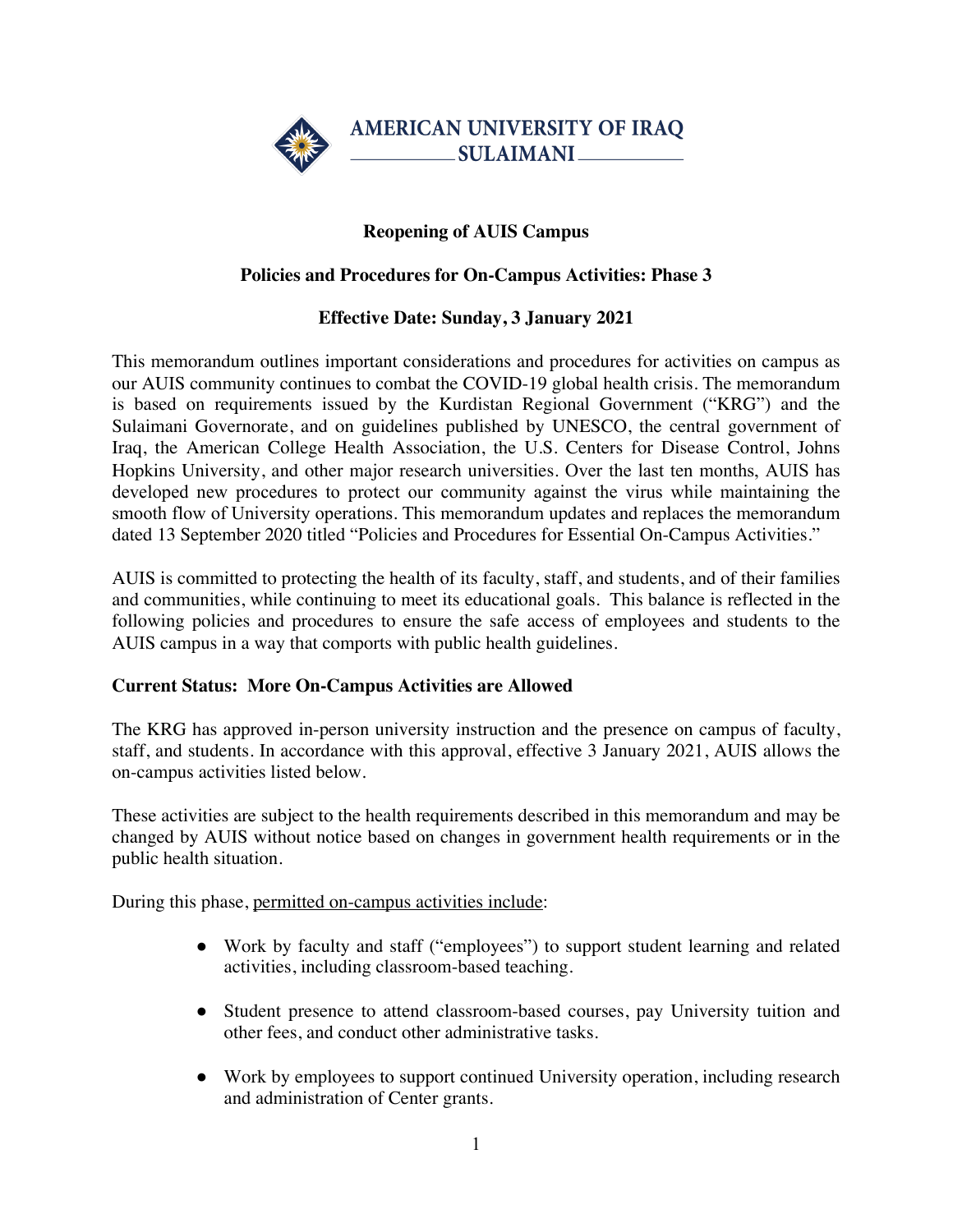

# **Reopening of AUIS Campus**

## **Policies and Procedures for On-Campus Activities: Phase 3**

## **Effective Date: Sunday, 3 January 2021**

This memorandum outlines important considerations and procedures for activities on campus as our AUIS community continues to combat the COVID-19 global health crisis. The memorandum is based on requirements issued by the Kurdistan Regional Government ("KRG") and the Sulaimani Governorate, and on guidelines published by UNESCO, the central government of Iraq, the American College Health Association, the U.S. Centers for Disease Control, Johns Hopkins University, and other major research universities. Over the last ten months, AUIS has developed new procedures to protect our community against the virus while maintaining the smooth flow of University operations. This memorandum updates and replaces the memorandum dated 13 September 2020 titled "Policies and Procedures for Essential On-Campus Activities."

AUIS is committed to protecting the health of its faculty, staff, and students, and of their families and communities, while continuing to meet its educational goals. This balance is reflected in the following policies and procedures to ensure the safe access of employees and students to the AUIS campus in a way that comports with public health guidelines.

#### **Current Status: More On-Campus Activities are Allowed**

The KRG has approved in-person university instruction and the presence on campus of faculty, staff, and students. In accordance with this approval, effective 3 January 2021, AUIS allows the on-campus activities listed below.

These activities are subject to the health requirements described in this memorandum and may be changed by AUIS without notice based on changes in government health requirements or in the public health situation.

During this phase, permitted on-campus activities include:

- Work by faculty and staff ("employees") to support student learning and related activities, including classroom-based teaching.
- Student presence to attend classroom-based courses, pay University tuition and other fees, and conduct other administrative tasks.
- Work by employees to support continued University operation, including research and administration of Center grants.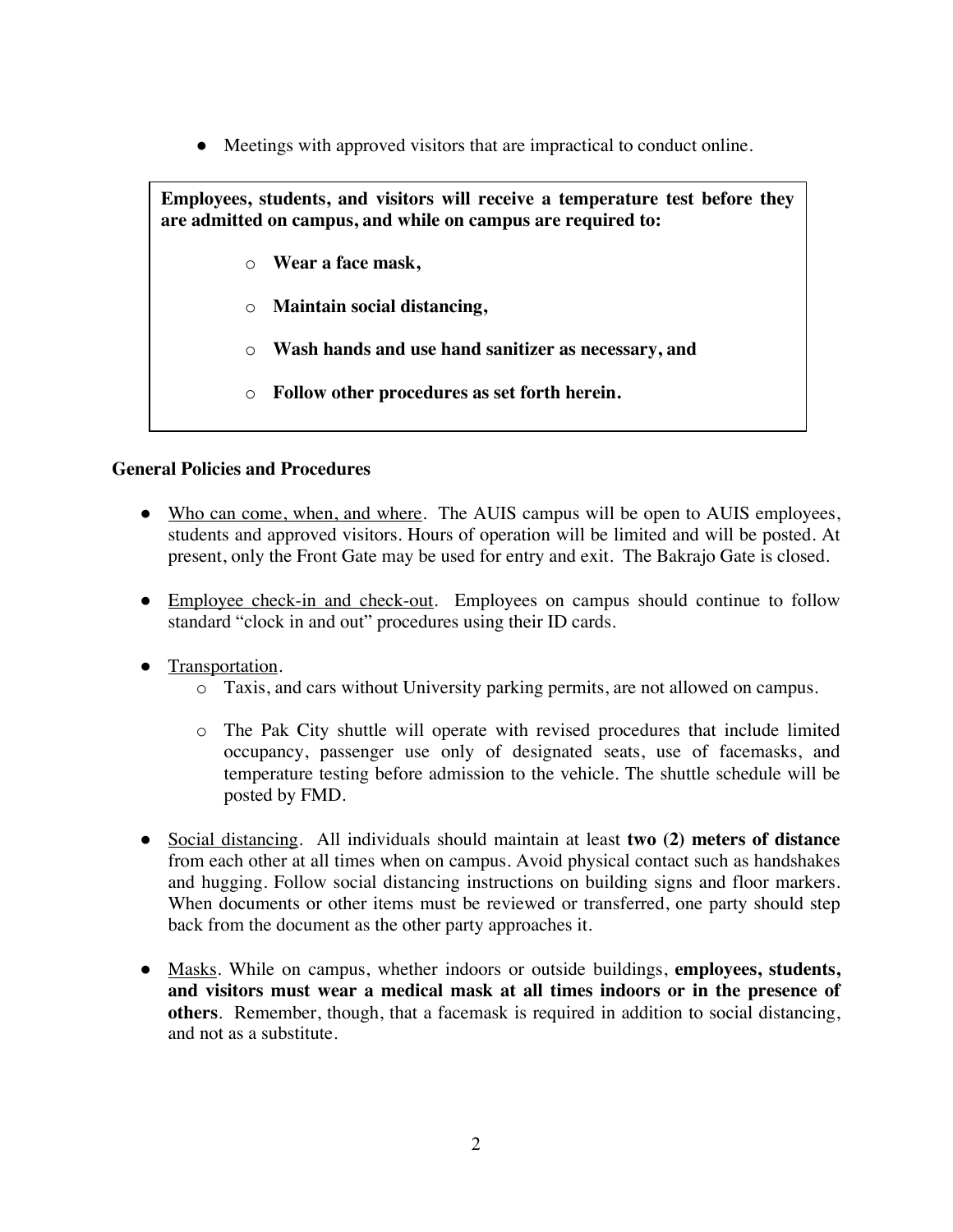● Meetings with approved visitors that are impractical to conduct online.

**Employees, students, and visitors will receive a temperature test before they are admitted on campus, and while on campus are required to:**

- o **Wear a face mask,**
- o **Maintain social distancing,**
- o **Wash hands and use hand sanitizer as necessary, and**
- o **Follow other procedures as set forth herein.**

#### **General Policies and Procedures**

- Who can come, when, and where. The AUIS campus will be open to AUIS employees, students and approved visitors. Hours of operation will be limited and will be posted. At present, only the Front Gate may be used for entry and exit. The Bakrajo Gate is closed.
- Employee check-in and check-out. Employees on campus should continue to follow standard "clock in and out" procedures using their ID cards.
- Transportation.
	- o Taxis, and cars without University parking permits, are not allowed on campus.
	- o The Pak City shuttle will operate with revised procedures that include limited occupancy, passenger use only of designated seats, use of facemasks, and temperature testing before admission to the vehicle. The shuttle schedule will be posted by FMD.
- Social distancing. All individuals should maintain at least **two (2) meters of distance** from each other at all times when on campus. Avoid physical contact such as handshakes and hugging. Follow social distancing instructions on building signs and floor markers. When documents or other items must be reviewed or transferred, one party should step back from the document as the other party approaches it.
- Masks. While on campus, whether indoors or outside buildings, **employees, students, and visitors must wear a medical mask at all times indoors or in the presence of others**. Remember, though, that a facemask is required in addition to social distancing, and not as a substitute.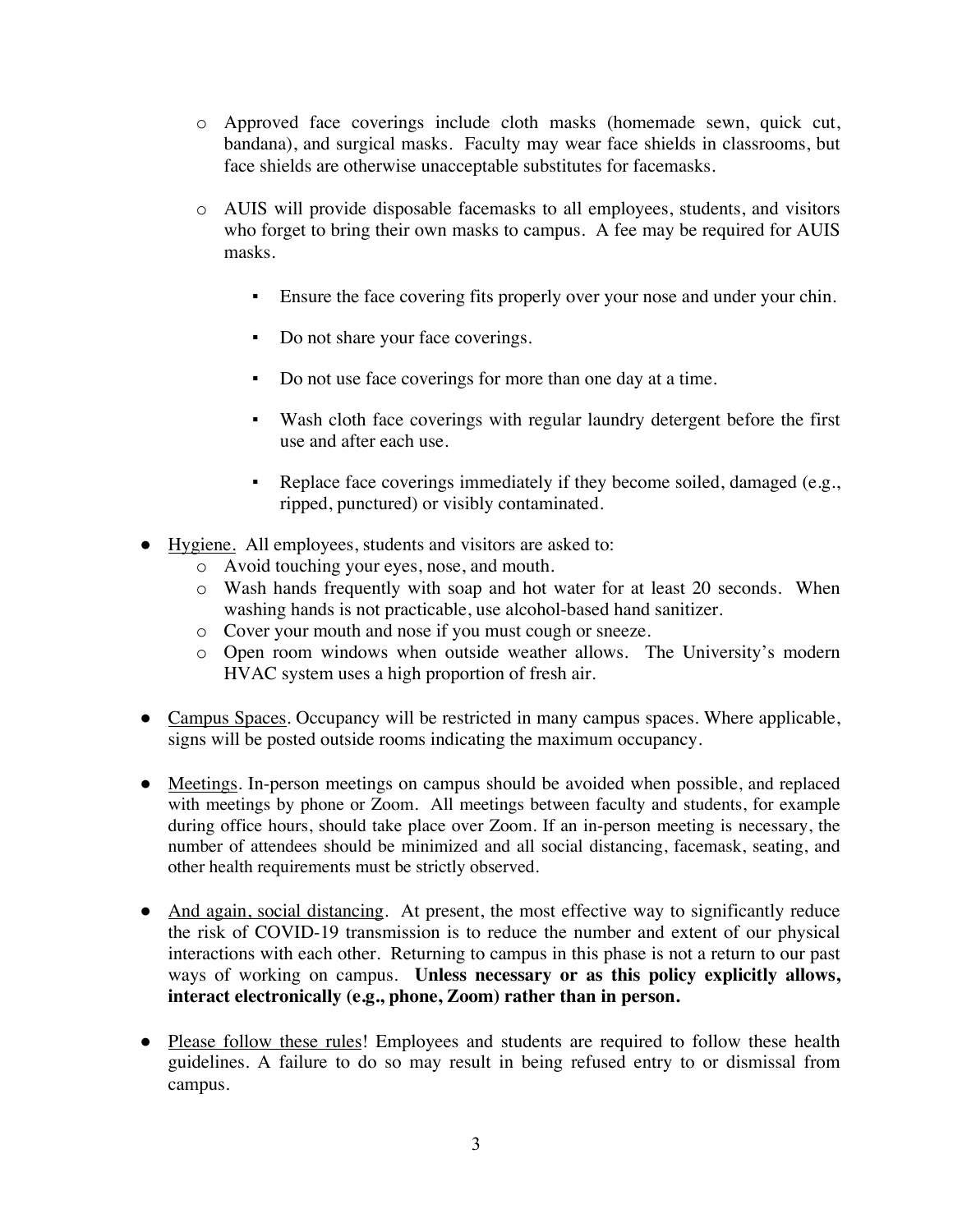- o Approved face coverings include cloth masks (homemade sewn, quick cut, bandana), and surgical masks. Faculty may wear face shields in classrooms, but face shields are otherwise unacceptable substitutes for facemasks.
- o AUIS will provide disposable facemasks to all employees, students, and visitors who forget to bring their own masks to campus. A fee may be required for AUIS masks.
	- Ensure the face covering fits properly over your nose and under your chin.
	- Do not share your face coverings.
	- Do not use face coverings for more than one day at a time.
	- Wash cloth face coverings with regular laundry detergent before the first use and after each use.
	- Replace face coverings immediately if they become soiled, damaged (e.g., ripped, punctured) or visibly contaminated.
- Hygiene. All employees, students and visitors are asked to:
	- o Avoid touching your eyes, nose, and mouth.
	- o Wash hands frequently with soap and hot water for at least 20 seconds. When washing hands is not practicable, use alcohol-based hand sanitizer.
	- o Cover your mouth and nose if you must cough or sneeze.
	- o Open room windows when outside weather allows. The University's modern HVAC system uses a high proportion of fresh air.
- Campus Spaces. Occupancy will be restricted in many campus spaces. Where applicable, signs will be posted outside rooms indicating the maximum occupancy.
- Meetings. In-person meetings on campus should be avoided when possible, and replaced with meetings by phone or Zoom. All meetings between faculty and students, for example during office hours, should take place over Zoom. If an in-person meeting is necessary, the number of attendees should be minimized and all social distancing, facemask, seating, and other health requirements must be strictly observed.
- And again, social distancing. At present, the most effective way to significantly reduce the risk of COVID-19 transmission is to reduce the number and extent of our physical interactions with each other. Returning to campus in this phase is not a return to our past ways of working on campus. **Unless necessary or as this policy explicitly allows, interact electronically (e.g., phone, Zoom) rather than in person.**
- Please follow these rules! Employees and students are required to follow these health guidelines. A failure to do so may result in being refused entry to or dismissal from campus.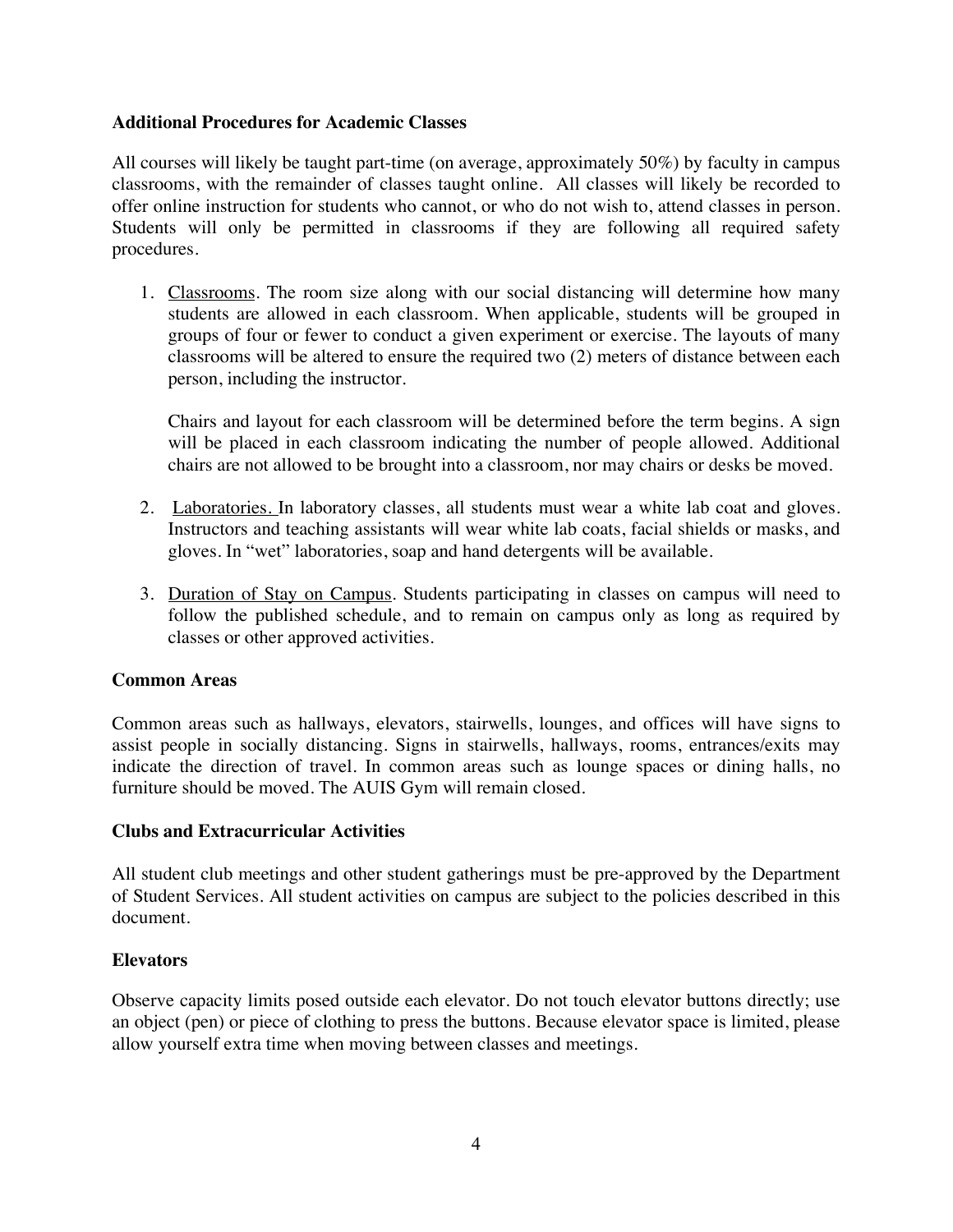#### **Additional Procedures for Academic Classes**

All courses will likely be taught part-time (on average, approximately 50%) by faculty in campus classrooms, with the remainder of classes taught online. All classes will likely be recorded to offer online instruction for students who cannot, or who do not wish to, attend classes in person. Students will only be permitted in classrooms if they are following all required safety procedures.

1. Classrooms. The room size along with our social distancing will determine how many students are allowed in each classroom. When applicable, students will be grouped in groups of four or fewer to conduct a given experiment or exercise. The layouts of many classrooms will be altered to ensure the required two (2) meters of distance between each person, including the instructor.

Chairs and layout for each classroom will be determined before the term begins. A sign will be placed in each classroom indicating the number of people allowed. Additional chairs are not allowed to be brought into a classroom, nor may chairs or desks be moved.

- 2. Laboratories. In laboratory classes, all students must wear a white lab coat and gloves. Instructors and teaching assistants will wear white lab coats, facial shields or masks, and gloves. In "wet" laboratories, soap and hand detergents will be available.
- 3. Duration of Stay on Campus. Students participating in classes on campus will need to follow the published schedule, and to remain on campus only as long as required by classes or other approved activities.

#### **Common Areas**

Common areas such as hallways, elevators, stairwells, lounges, and offices will have signs to assist people in socially distancing. Signs in stairwells, hallways, rooms, entrances/exits may indicate the direction of travel. In common areas such as lounge spaces or dining halls, no furniture should be moved. The AUIS Gym will remain closed.

#### **Clubs and Extracurricular Activities**

All student club meetings and other student gatherings must be pre-approved by the Department of Student Services. All student activities on campus are subject to the policies described in this document.

#### **Elevators**

Observe capacity limits posed outside each elevator. Do not touch elevator buttons directly; use an object (pen) or piece of clothing to press the buttons. Because elevator space is limited, please allow yourself extra time when moving between classes and meetings.